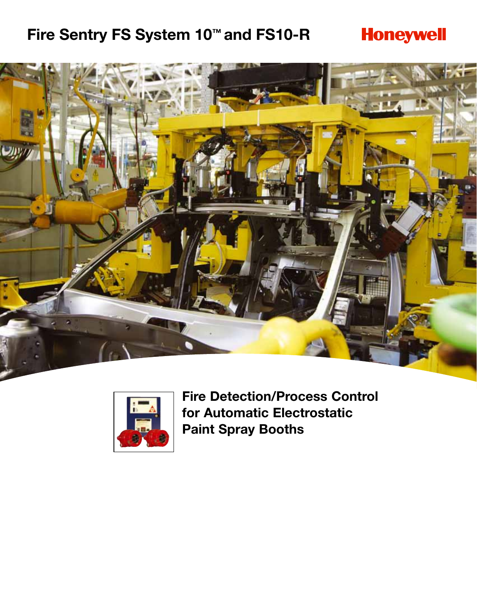# **Fire Sentry FS System 10™ and FS10-R**

# **Honeywell**





**Fire Detection/Process Control for Automatic Electrostatic Paint Spray Booths**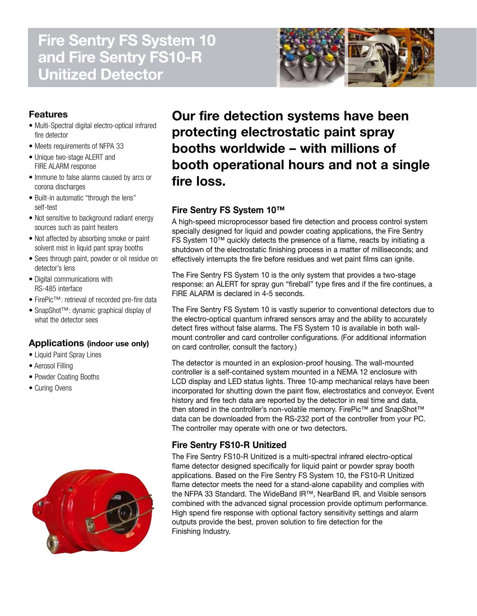# **Fire Sentry FS System 10 and Fire Sentry FS10-R Unitized Detector**



## **Features**

- Multi-Spectral digital electro-optical infrared fire detector
- Meets requirements of NFPA 33
- Unique two-stage ALERT and FIRE ALARM response
- Immune to false alarms caused by arcs or corona discharges
- Built-in automatic "through the lens" self-test
- Not sensitive to background radiant energy sources such as paint heaters
- Not affected by absorbing smoke or paint solvent mist in liquid pant spray booths
- Sees through paint, powder or oil residue on detector's lens
- Digital communications with RS-485 interface
- FirePic™: retrieval of recorded pre-fire data
- SnapShot™: dynamic graphical display of what the detector sees

### **Applications (indoor use only)**

- Liquid Paint Spray Lines
- Aerosol Filling
- Powder Coating Booths
- Curing Ovens



**Our fire detection systems have been protecting electrostatic paint spray booths worldwide – with millions of booth operational hours and not a single fire loss.**

## **Fire Sentry FS System 10™**

A high-speed microprocessor based fire detection and process control system specially designed for liquid and powder coating applications, the Fire Sentry FS System 10™ quickly detects the presence of a flame, reacts by initiating a shutdown of the electrostatic finishing process in a matter of milliseconds; and effectively interrupts the fire before residues and wet paint films can ignite.

The Fire Sentry FS System 10 is the only system that provides a two-stage response: an ALERT for spray gun "fireball" type fires and if the fire continues, a FIRE ALARM is declared in 4-5 seconds.

The Fire Sentry FS System 10 is vastly superior to conventional detectors due to the electro-optical quantum infrared sensors array and the ability to accurately detect fires without false alarms. The FS System 10 is available in both wallmount controller and card controller configurations. (For additional information on card controller, consult the factory.)

The detector is mounted in an explosion-proof housing. The wall-mounted controller is a self-contained system mounted in a NEMA 12 enclosure with LCD display and LED status lights. Three 10-amp mechanical relays have been incorporated for shutting down the paint flow, electrostatics and conveyor. Event history and fire tech data are reported by the detector in real time and data, then stored in the controller's non-volatile memory. FirePic™ and SnapShot™ data can be downloaded from the RS-232 port of the controller from your PC. The controller may operate with one or two detectors.

## **Fire Sentry FS10-R Unitized**

The Fire Sentry FS10-R Unitized is a multi-spectral infrared electro-optical flame detector designed specifically for liquid paint or powder spray booth applications. Based on the Fire Sentry FS System 10, the FS10-R Unitized flame detector meets the need for a stand-alone capability and complies with the NFPA 33 Standard. The WideBand IR™, NearBand IR, and Visible sensors combined with the advanced signal procession provide optimum performance. High spend fire response with optional factory sensitivity settings and alarm outputs provide the best, proven solution to fire detection for the Finishing Industry.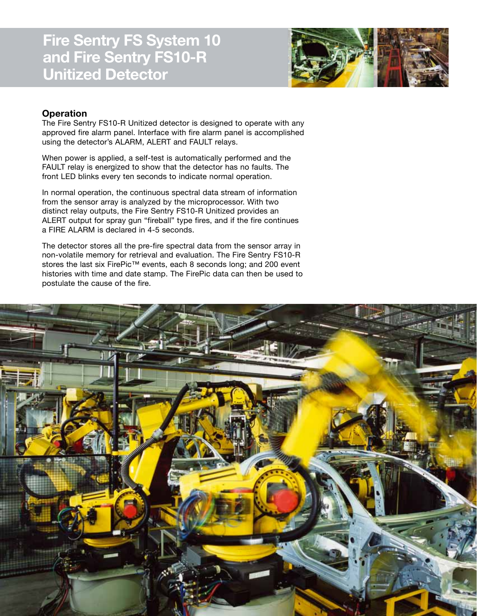

### **Operation**

The Fire Sentry FS10-R Unitized detector is designed to operate with any approved fire alarm panel. Interface with fire alarm panel is accomplished using the detector's ALARM, ALERT and FAULT relays.

When power is applied, a self-test is automatically performed and the FAULT relay is energized to show that the detector has no faults. The front LED blinks every ten seconds to indicate normal operation.

In normal operation, the continuous spectral data stream of information from the sensor array is analyzed by the microprocessor. With two distinct relay outputs, the Fire Sentry FS10-R Unitized provides an ALERT output for spray gun "fireball" type fires, and if the fire continues a FIRE ALARM is declared in 4-5 seconds.

The detector stores all the pre-fire spectral data from the sensor array in non-volatile memory for retrieval and evaluation. The Fire Sentry FS10-R stores the last six FirePic<sup>™</sup> events, each 8 seconds long; and 200 event histories with time and date stamp. The FirePic data can then be used to postulate the cause of the fire.